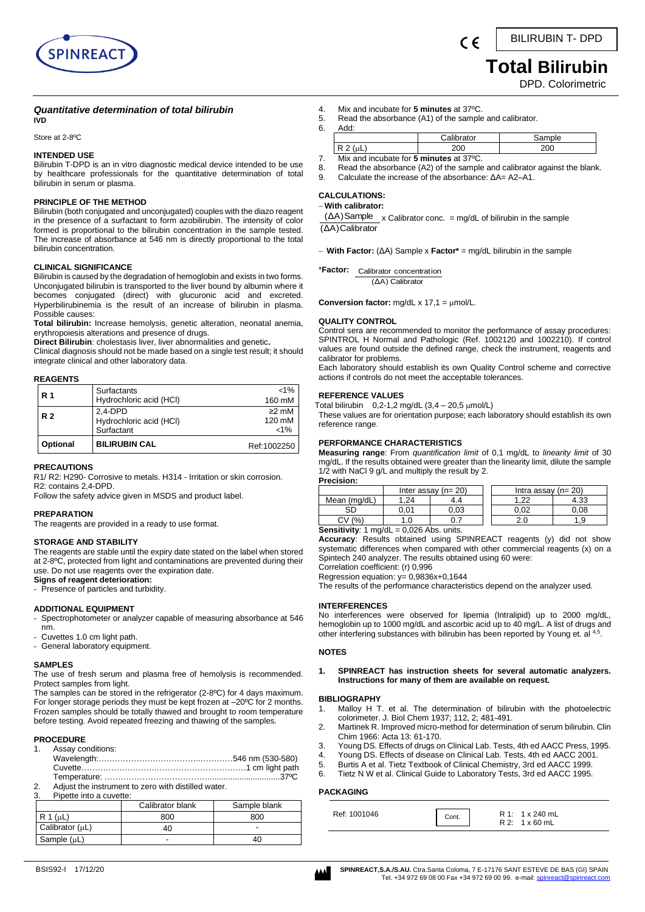

 **Total Bilirubin**

DPD. Colorimetric

## *Quantitative determination of total bilirubin*

Store at 2-8ºC

**IVD**

## **INTENDED USE**

Bilirubin T-DPD is an in vitro diagnostic medical device intended to be use by healthcare professionals for the quantitative determination of total bilirubin in serum or plasma.

#### **PRINCIPLE OF THE METHOD**

Bilirubin (both conjugated and unconjugated) couples with the diazo reagent in the presence of a surfactant to form azobilirubin. The intensity of color formed is proportional to the bilirubin concentration in the sample tested. The increase of absorbance at 546 nm is directly proportional to the total bilirubin concentration.

## **CLINICAL SIGNIFICANCE**

Bilirubin is caused by the degradation of hemoglobin and exists in two forms. Unconjugated bilirubin is transported to the liver bound by albumin where it becomes conjugated (direct) with glucuronic acid and excreted. Hyperbilirubinemia is the result of an increase of bilirubin in plasma. Possible causes:

**Total bilirubin:** Increase hemolysis, genetic alteration, neonatal anemia, erythropoiesis alterations and presence of drugs.

**Direct Bilirubin**: cholestasis liver, liver abnormalities and genetic**.**

Clinical diagnosis should not be made based on a single test result; it should integrate clinical and other laboratory data.

#### **REAGENTS**

| R 1            | Surfactants<br>Hydrochloric acid (HCI)             | $< 1\%$<br>160 mM              |
|----------------|----------------------------------------------------|--------------------------------|
| R <sub>2</sub> | $2.4-DPD$<br>Hydrochloric acid (HCI)<br>Surfactant | $\geq$ mM<br>120 mM<br>$< 1\%$ |
| Optional       | <b>BILIRUBIN CAL</b>                               | Ref:1002250                    |

#### **PRECAUTIONS**

R1/ R2: H290- Corrosive to metals. H314 - Irritation or skin corrosion. R2: contains 2,4-DPD.

Follow the safety advice given in MSDS and product label.

## **PREPARATION**

The reagents are provided in a ready to use format.

## **STORAGE AND STABILITY**

The reagents are stable until the expiry date stated on the label when stored at 2-8ºC, protected from light and contaminations are prevented during their use. Do not use reagents over the expiration date. **Signs of reagent deterioration:**

Presence of particles and turbidity.

#### **ADDITIONAL EQUIPMENT**

- Spectrophotometer or analyzer capable of measuring absorbance at 546 nm.

- Cuvettes 1.0 cm light path.
- General laboratory equipment.

#### **SAMPLES**

The use of fresh serum and plasma free of hemolysis is recommended. Protect samples from light.

The samples can be stored in the refrigerator (2-8ºC) for 4 days maximum. For longer storage periods they must be kept frozen at -20°C for 2 months. Frozen samples should be totally thawed and brought to room temperature before testing. Avoid repeated freezing and thawing of the samples.

## **PROCEDURE**

|    | 1. Assay conditions:                                |  |
|----|-----------------------------------------------------|--|
|    |                                                     |  |
|    |                                                     |  |
|    |                                                     |  |
| 2. | Adjust the instrument to zero with distilled water. |  |

3. Pipette into a cuvette:

|                      | Calibrator blank | Sample blank |
|----------------------|------------------|--------------|
| $R 1 (\mu L)$        | 800              | 800          |
| Calibrator $(\mu L)$ | 40               | -            |
| Sample (µL)          |                  | 40           |

- 
- 4. Mix and incubate for **5 minutes** at 37ºC.
- 5. Read the absorbance (A1) of the sample and calibrator. 6. Add:

|                   | $\cdots$<br>∴alib<br>ator | жe  |
|-------------------|---------------------------|-----|
| $\cdot$ .<br>∣∖ ∠ |                           | 20C |

 $\epsilon$ 

7. Mix and incubate for **5 minutes** at 37ºC.

- 8. Read the absorbance (A2) of the sample and calibrator against the blank.
- 9. Calculate the increase of the absorbance: ΔA= A2–A1.

## **CALCULATIONS:**

## − **With calibrator:**

 $(\Delta A)$ Sample x Calibrator conc. = mg/dL of bilirubin in the sample (ΔA)Calibrator

− **With Factor:** (ΔA) Sample x **Factor\*** = mg/dL bilirubin in the sample

\***Factor:**  Calibrator concentration (ΔA) Calibrator

**Conversion factor:**  $mg/dL \times 17,1 = \mu mol/L$ .

#### **QUALITY CONTROL**

Control sera are recommended to monitor the performance of assay procedures: SPINTROL H Normal and Pathologic (Ref. 1002120 and 1002210). If control values are found outside the defined range, check the instrument, reagents and calibrator for problems.

Each laboratory should establish its own Quality Control scheme and corrective actions if controls do not meet the acceptable tolerances.

## **REFERENCE VALUES**

Total bilirubin  $0,2-1,2$  mg/dL  $(3,4-20,5 \mu$ mol/L)

These values are for orientation purpose; each laboratory should establish its own reference range.

## **PERFORMANCE CHARACTERISTICS**

**Measuring range**: From *quantification limit* of 0,1 mg/dL to *linearity limit* of 30 mg/dL. If the results obtained were greater than the linearity limit, dilute the sample 1/2 with NaCl 9 g/L and multiply the result by 2.

**Precision:** Inter assay  $(n= 20)$  Intra assay  $(n= 20)$ Mean (mg/dL) 1,24 4.4 1,22 4.33 SD 0,01 0,03 0,02 0,08 CV (%) 1.0 0.7 2.0 1,9

**Sensitivity***:* 1 mg/dL = 0,026 Abs. units.

**Accuracy**: Results obtained using SPINREACT reagents (y) did not show systematic differences when compared with other commercial reagents (x) on a Spintech 240 analyzer. The results obtained using 60 were:

Correlation coefficient: (r) 0,996 Regression equation: y= 0,9836x+0,1644

The results of the performance characteristics depend on the analyzer used.

#### **INTERFERENCES**

No interferences were observed for lipemia (Intralipid) up to 2000 mg/dL, hemoglobin up to 1000 mg/dL and ascorbic acid up to 40 mg/L. A list of drugs and other interfering substances with bilirubin has been reported by Young et. al 4,5.

### **NOTES**

#### **1. SPINREACT has instruction sheets for several automatic analyzers. Instructions for many of them are available on request.**

#### **BIBLIOGRAPHY**

- 1. Malloy H T. et al. The determination of bilirubin with the photoelectric colorimeter. J. Biol Chem 1937; 112, 2; 481-491.
- 2. Martinek R. Improved micro-method for determination of serum bilirubin. Clin Chim 1966: Acta 13: 61-170.
- 3. Young DS. Effects of drugs on Clinical Lab. Tests, 4th ed AACC Press, 1995.
- 4. Young DS. Effects of disease on Clinical Lab. Tests, 4th ed AACC 2001.
- 5. Burtis A et al. Tietz Textbook of Clinical Chemistry, 3rd ed AACC 1999.
- 6. Tietz N W et al. Clinical Guide to Laboratory Tests, 3rd ed AACC 1995.

## **PACKAGING**

| Ref: 1001046 | Cont. | R 1: 1 x 240 mL      |  |
|--------------|-------|----------------------|--|
|              |       | $R2: 1 \times 60$ mL |  |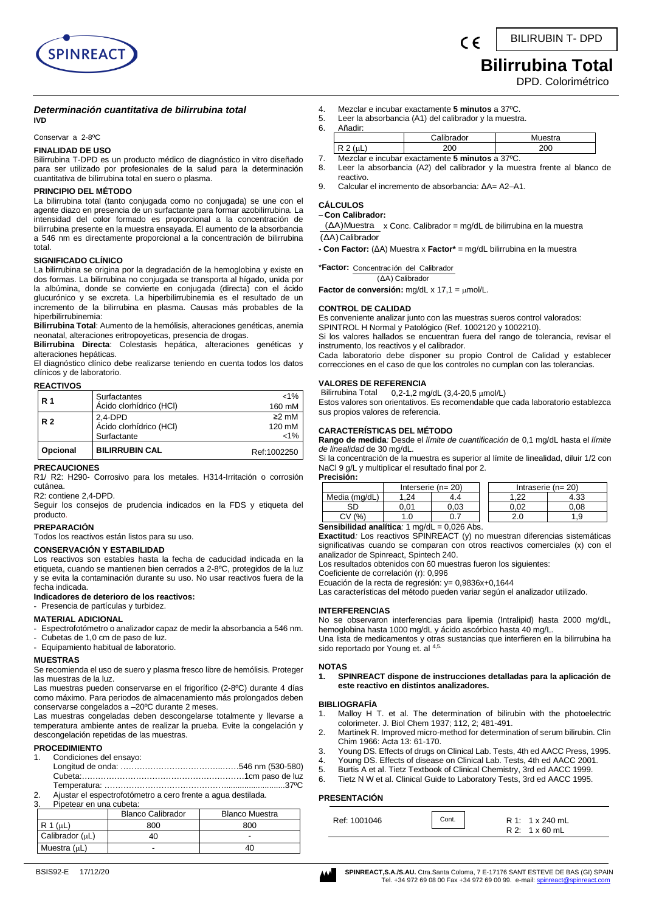

# **Bilirrubina Total**

DPD. Colorimétrico

#### *Determinación cuantitativa de bilirrubina total* **IVD**

## Conservar a 2-8ºC

## **FINALIDAD DE USO**

Bilirrubina T-DPD es un producto médico de diagnóstico in vitro diseñado para ser utilizado por profesionales de la salud para la determinación cuantitativa de bilirrubina total en suero o plasma.

#### **PRINCIPIO DEL MÉTODO**

La bilirrubina total (tanto conjugada como no conjugada) se une con el agente diazo en presencia de un surfactante para formar azobilirrubina. La intensidad del color formado es proporcional a la concentración de bilirrubina presente en la muestra ensayada. El aumento de la absorbancia a 546 nm es directamente proporcional a la concentración de bilirrubina total.

## **SIGNIFICADO CLÍNICO**

La bilirrubina se origina por la degradación de la hemoglobina y existe en dos formas. La bilirrubina no conjugada se transporta al hígado, unida por la albúmina, donde se convierte en conjugada (directa) con el ácido glucurónico y se excreta. La hiperbilirrubinemia es el resultado de un incremento de la bilirrubina en plasma. Causas más probables de la hiperbilirrubinemia:

**Bilirrubina Total**: Aumento de la hemólisis, alteraciones genéticas, anemia neonatal, alteraciones eritropoyeticas, presencia de drogas.

**Bilirrubina Directa**: Colestasis hepática, alteraciones genéticas y alteraciones hepáticas.

El diagnóstico clínico debe realizarse teniendo en cuenta todos los datos clínicos y de laboratorio.

## **REACTIVOS**

| <b>R</b> 1     | Surfactantes<br>Ácido clorhídrico (HCI)             | $< 1\%$<br>160 mM              |
|----------------|-----------------------------------------------------|--------------------------------|
| R <sub>2</sub> | $2.4-DPD$<br>Ácido clorhídrico (HCI)<br>Surfactante | $\geq$ mM<br>120 mM<br>$< 1\%$ |
| Opcional       | <b>BILIRRUBIN CAL</b>                               | Ref:1002250                    |

## **PRECAUCIONES**

R1/ R2: H290- Corrosivo para los metales. H314-Irritación o corrosión cutánea.

R2: contiene 2,4-DPD.

Seguir los consejos de prudencia indicados en la FDS y etiqueta del producto.

## **PREPARACIÓN**

Todos los reactivos están listos para su uso.

## **CONSERVACIÓN Y ESTABILIDAD**

Los reactivos son estables hasta la fecha de caducidad indicada en la etiqueta, cuando se mantienen bien cerrados a 2-8ºC, protegidos de la luz y se evita la contaminación durante su uso. No usar reactivos fuera de la fecha indicada.

## **Indicadores de deterioro de los reactivos:**

- Presencia de partículas y turbidez.

## **MATERIAL ADICIONAL**

- Espectrofotómetro o analizador capaz de medir la absorbancia a 546 nm. Cubetas de 1,0 cm de paso de luz.
- Equipamiento habitual de laboratorio.

## **MUESTRAS**

Se recomienda el uso de suero y plasma fresco libre de hemólisis. Proteger las muestras de la luz.

Las muestras pueden conservarse en el frigorífico (2-8ºC) durante 4 días como máximo. Para periodos de almacenamiento más prolongados deben conservarse congelados a –20ºC durante 2 meses.

Las muestras congeladas deben descongelarse totalmente y llevarse a temperatura ambiente antes de realizar la prueba. Evite la congelación y descongelación repetidas de las muestras.

## **PROCEDIMIENTO**

1. Condiciones del ensayo:

| $\mathcal{D}$ | Aiustar el espectrofotómetro a cero frente a agua destilada |  |
|---------------|-------------------------------------------------------------|--|

2. Ajustar el espectrofotómetro a cero frente a agua destilada.<br>3. Pinetear en una cubeta: Pipetear en una cubeta:

|                   | <b>Blanco Calibrador</b> | <b>Blanco Muestra</b> |
|-------------------|--------------------------|-----------------------|
| ′uL               | 800                      | 800                   |
| Calibrador (uL)   | 40                       | -                     |
| Muestra $(\mu L)$ |                          | 40                    |

- 4. Mezclar e incubar exactamente **5 minutos** a 37ºC.
- 5. Leer la absorbancia (A1) del calibrador y la muestra.
	- 6. Añadir:

|                                                            | Calibrador | Muestra |
|------------------------------------------------------------|------------|---------|
|                                                            |            |         |
| Mezclar e incubar exactamente $\overline{5}$ minutes a 37% |            |         |

- 7. Mezclar e incubar exactamente **5 minutos** a 37ºC. 8. Leer la absorbancia (A2) del calibrador y la muestra frente al blanco de reactivo.
- 9. Calcular el incremento de absorbancia: ΔA= A2–A1.

#### **CÁLCULOS**

#### − **Con Calibrador:**

x Conc. Calibrador = mg/dL de bilirrubina en la muestra (ΔA)Muestra

(ΔA)Calibrador

**- Con Factor:** (ΔA) Muestra x **Factor\*** = mg/dL bilirrubina en la muestra

\***Factor:**  Concentrac ión del Calibrador (ΔA) Calibrador

Factor de conversión: mg/dL x 17,1 = µmol/L.

#### **CONTROL DE CALIDAD**

Es conveniente analizar junto con las muestras sueros control valorados: SPINTROL H Normal y Patológico (Ref. 1002120 y 1002210).

Si los valores hallados se encuentran fuera del rango de tolerancia, revisar el instrumento, los reactivos y el calibrador.

Cada laboratorio debe disponer su propio Control de Calidad y establecer correcciones en el caso de que los controles no cumplan con las tolerancias.

## **VALORES DE REFERENCIA**<br>Bilirrubina Total 0.2-1.2 m

 $0,2-1,2$  mg/dL  $(3,4-20,5 \mu$ mol/L)

Estos valores son orientativos. Es recomendable que cada laboratorio establezca sus propios valores de referencia.

### **CARACTERÍSTICAS DEL MÉTODO**

**Rango de medida***:* Desde el *límite de cuantificación* de 0,1 mg/dL hasta el *límite de linealidad* de 30 mg/dL.

Si la concentración de la muestra es superior al límite de linealidad, diluir 1/2 con NaCl 9 g/L y multiplicar el resultado final por 2.

**Precisión:**

| г гестэгчт.                                           |       |                     |      |                     |
|-------------------------------------------------------|-------|---------------------|------|---------------------|
|                                                       |       | Interserie $(n=20)$ |      | Intraserie $(n=20)$ |
| Media (mg/dL)                                         | 24. ا | 4.4                 | .22  | 4.33                |
| SD                                                    | 0.01  | 0.03                | 0.02 | ა.08                |
| CV(% )                                                |       |                     | 2.0  | 1.9                 |
| <b>Sensibilidad analítica:</b> 1 mg/dL = $0.026$ Abs. |       |                     |      |                     |

**Exactitud***:* Los reactivos SPINREACT (y) no muestran diferencias sistemáticas significativas cuando se comparan con otros reactivos comerciales (x) con el analizador de Spinreact, Spintech 240.

Los resultados obtenidos con 60 muestras fueron los siguientes:

Coeficiente de correlación (r): 0,996

Ecuación de la recta de regresión: y= 0,9836x+0,1644

Las características del método pueden variar según el analizador utilizado.

### **INTERFERENCIAS**

No se observaron interferencias para lipemia (Intralipid) hasta 2000 mg/dL, hemoglobina hasta 1000 mg/dL y ácido ascórbico hasta 40 mg/L. Una lista de medicamentos y otras sustancias que interfieren en la bilirrubina ha sido reportado por Young et. al 4,5.

#### **NOTAS**

**1. SPINREACT dispone de instrucciones detalladas para la aplicación de este reactivo en distintos analizadores.** 

## **BIBLIOGRAFÍA**

- 1. Malloy H T. et al. The determination of bilirubin with the photoelectric colorimeter. J. Biol Chem 1937; 112, 2; 481-491.
- 2. Martinek R. Improved micro-method for determination of serum bilirubin. Clin Chim 1966: Acta 13: 61-170.
- 3. Young DS. Effects of drugs on Clinical Lab. Tests, 4th ed AACC Press, 1995.
- 4. Young DS. Effects of disease on Clinical Lab. Tests, 4th ed AACC 2001.
- 5. Burtis A et al. Tietz Textbook of Clinical Chemistry, 3rd ed AACC 1999.
- 6. Tietz N W et al. Clinical Guide to Laboratory Tests, 3rd ed AACC 1995.

#### **PRESENTACIÓN**

| Ref: 1001046 | Cont. | R 1: 1 x 240 mL<br>$R2: 1 \times 60$ mL |
|--------------|-------|-----------------------------------------|
|              |       |                                         |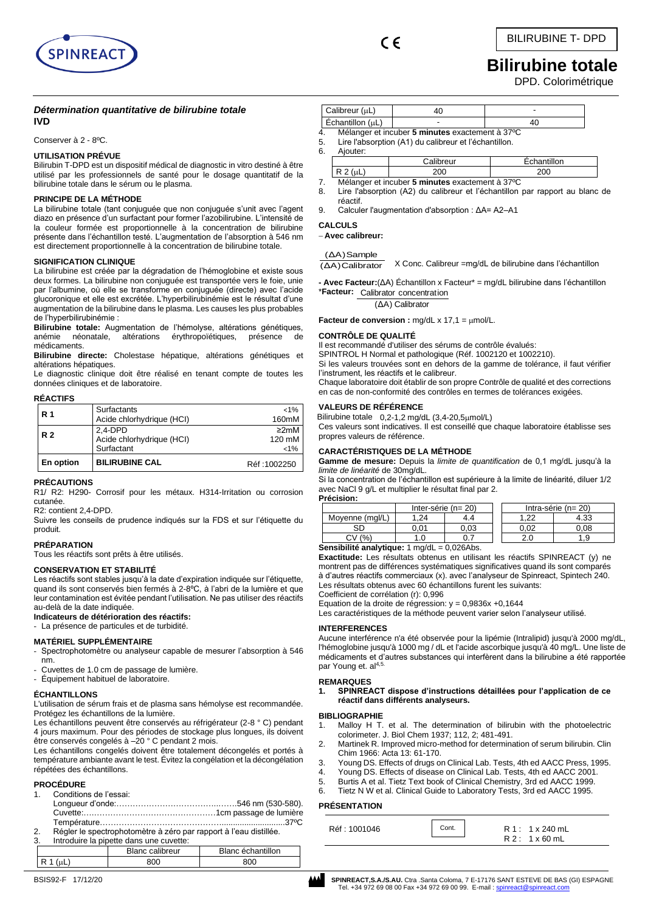

 $\epsilon$ 

# **Bilirubine totale**

DPD. Colorimétrique

## *Détermination quantitative de bilirubine totale* **IVD**

Conserver à 2 - 8ºC.

## **UTILISATION PRÉVUE**

Bilirubin T-DPD est un dispositif médical de diagnostic in vitro destiné à être utilisé par les professionnels de santé pour le dosage quantitatif de la bilirubine totale dans le sérum ou le plasma.

## **PRINCIPE DE LA MÉTHODE**

La bilirubine totale (tant conjuguée que non conjuguée s'unit avec l'agent diazo en présence d'un surfactant pour former l'azobilirubine. L'intensité de la couleur formée est proportionnelle à la concentration de bilirubine présente dans l'échantillon testé. L'augmentation de l'absorption à 546 nm est directement proportionnelle à la concentration de bilirubine totale.

## **SIGNIFICATION CLINIQUE**

La bilirubine est créée par la dégradation de l'hémoglobine et existe sous deux formes. La bilirubine non conjuguée est transportée vers le foie, unie par l'albumine, où elle se transforme en conjuguée (directe) avec l'acide glucoronique et elle est excrétée. L'hyperbilirubinémie est le résultat d'une augmentation de la bilirubine dans le plasma. Les causes les plus probables de l'hyperbilirubinémie :

**Bilirubine totale:** Augmentation de l'hémolyse, altérations génétiques, anémie néonatale, altérations érythropoïétiques, présence médicaments.

**Bilirubine directe:** Cholestase hépatique, altérations génétiques et altérations hépatiques.

Le diagnostic clinique doit être réalisé en tenant compte de toutes les données cliniques et de laboratoire.

## **RÉACTIFS**

| En option      | <b>BILIRUBINE CAL</b>                    | Réf: 1002250         |
|----------------|------------------------------------------|----------------------|
|                | Surfactant                               | $< 1\%$              |
| R <sub>2</sub> | 2.4-DPD<br>Acide chlorhydrique (HCI)     | $\geq$ 2mM<br>120 mM |
| <b>R</b> 1     | Surfactants<br>Acide chlorhydrique (HCI) | $< 1\%$<br>160mM     |

### **PRÉCAUTIONS**

R1/ R2: H290- Corrosif pour les métaux. H314-Irritation ou corrosion cutanée.

R2: contient 2,4-DPD.

Suivre les conseils de prudence indiqués sur la FDS et sur l'étiquette du produit.

## **PRÉPARATION**

Tous les réactifs sont prêts à être utilisés.

## **CONSERVATION ET STABILITÉ**

Les réactifs sont stables jusqu'à la date d'expiration indiquée sur l'étiquette, quand ils sont conservés bien fermés à 2-8ºC, à l'abri de la lumière et que leur contamination est évitée pendant l'utilisation. Ne pas utiliser des réactifs au-delà de la date indiquée.

**Indicateurs de détérioration des réactifs:**

## - La présence de particules et de turbidité.

- **MATÉRIEL SUPPLÉMENTAIRE**
- Spectrophotomètre ou analyseur capable de mesurer l'absorption à 546 nm.
- Cuvettes de 1.0 cm de passage de lumière.
- Équipement habituel de laboratoire.

## **ÉCHANTILLONS**

L'utilisation de sérum frais et de plasma sans hémolyse est recommandée. Protégez les échantillons de la lumière.

Les échantillons peuvent être conservés au réfrigérateur (2-8 ° C) pendant 4 jours maximum. Pour des périodes de stockage plus longues, ils doivent être conservés congelés à -20 ° C pendant 2 mois.

Les échantillons congelés doivent être totalement décongelés et portés à température ambiante avant le test. Évitez la congélation et la décongélation répétées des échantillons.

## **PROCÉDURE**

1. Conditions de l'essai:

Longueur d'onde:………………………………..…….546 nm (530-580). Cuvette:….………………………………………1cm passage de lumière Température………………………………………............................37ºC 2. Régler le spectrophotomètre à zéro par rapport à l'eau distillée.

Introduire la pipette dans une cuvette

| o.<br>muodulle la pipelle daris urie cuvelle. |                        |                   |  |  |  |
|-----------------------------------------------|------------------------|-------------------|--|--|--|
|                                               | <b>Blanc calibreur</b> | Blanc échantillon |  |  |  |
|                                               |                        | 800               |  |  |  |
|                                               |                        |                   |  |  |  |

|    | Calibreur (uL)     |                                                                                                          |             |  |
|----|--------------------|----------------------------------------------------------------------------------------------------------|-------------|--|
|    | Échantillon (µL)   | -                                                                                                        | 40          |  |
| 6. | 5.<br>Aiouter:     | Mélanger et incuber 5 minutes exactement à 37°C<br>Lire l'absorption (A1) du calibreur et l'échantillon. |             |  |
|    |                    | Calibreur                                                                                                | Echantillon |  |
|    | $D^{\prime}$ $(1)$ | $\sim$                                                                                                   | 200         |  |

 $R$  2 ( $\mu$ L) 200

- 7. Mélanger et incuber **5 minutes** exactement à 37ºC Lire l'absorption (A2) du calibreur et l'échantillon par rapport au blanc de réactif.
- 9. Calculer l'augmentation d'absorption : ΔA= A2–A1

## **CALCULS**

− **Avec calibreur:**

## (ΔA)Sample

X Conc. Calibreur =mg/dL de bilirubine dans l'échantillon (ΔA)Calibrator

Calibrator concentration \***Facteur: - Avec Facteur:**(ΔA) Échantillon x Facteur\* = mg/dL bilirubine dans l'échantillon

#### (ΔA) Calibrator

Facteur de conversion : mg/dL x 17,1 = µmol/L.

## **CONTRÔLE DE QUALITÉ**

Il est recommandé d'utiliser des sérums de contrôle évalués:

SPINTROL H Normal et pathologique (Réf. 1002120 et 1002210).

Si les valeurs trouvées sont en dehors de la gamme de tolérance, il faut vérifier l'instrument, les réactifs et le calibreur.

Chaque laboratoire doit établir de son propre Contrôle de qualité et des corrections en cas de non-conformité des contrôles en termes de tolérances exigées.

### **VALEURS DE RÉFÉRENCE**

Bilirubine totale  $0,2-1,2$  mg/dL  $(3,4-20,5\mu$ mol/L) Ces valeurs sont indicatives. Il est conseillé que chaque laboratoire établisse ses propres valeurs de référence.

## **CARACTÉRISTIQUES DE LA MÉTHODE**

**Gamme de mesure:** Depuis la *limite de quantification* de 0,1 mg/dL jusqu'à la *limite de linéarité* de 30mg/dL.

Si la concentration de l'échantillon est supérieure à la limite de linéarité, diluer 1/2 avec NaCl 9 g/L et multiplier le résultat final par 2. **Précision:**

| .               |                          |      |                          |              |  |
|-----------------|--------------------------|------|--------------------------|--------------|--|
|                 | Inter-série ( $n = 20$ ) |      | Intra-série ( $n = 20$ ) |              |  |
| Movenne (mal/L) | 24                       | 4.4  | ົດຕ                      | 1 22<br>ن ن+ |  |
| eг              | 01.ر                     | 0.03 |                          | 0.08         |  |
| (%              |                          | υ. ι | 2.0                      | .9           |  |

## **Sensibilité analytique:** 1 mg/dL = 0,026Abs.

**Exactitude:** Les résultats obtenus en utilisant les réactifs SPINREACT (y) ne montrent pas de différences systématiques significatives quand ils sont comparés à d'autres réactifs commerciaux (x). avec l'analyseur de Spinreact, Spintech 240. Les résultats obtenus avec 60 échantillons furent les suivants:

Coefficient de corrélation (r): 0,996

Equation de la droite de régression:  $y = 0,9836x +0,1644$ 

Les caractéristiques de la méthode peuvent varier selon l'analyseur utilisé.

### **INTERFERENCES**

Aucune interférence n'a été observée pour la lipémie (Intralipid) jusqu'à 2000 mg/dL, l'hémoglobine jusqu'à 1000 mg / dL et l'acide ascorbique jusqu'à 40 mg/L. Une liste de médicaments et d'autres substances qui interfèrent dans la bilirubine a été rapportée par Young et. al<sup>4,5.</sup>

## **REMARQUES**

**1. SPINREACT dispose d'instructions détaillées pour l'application de ce réactif dans différents analyseurs.** 

## **BIBLIOGRAPHIE**

- Malloy H T. et al. The determination of bilirubin with the photoelectric colorimeter. J. Biol Chem 1937; 112, 2; 481-491.
- 2. Martinek R. Improved micro-method for determination of serum bilirubin. Clin Chim 1966: Acta 13: 61-170.
- 3. Young DS. Effects of drugs on Clinical Lab. Tests, 4th ed AACC Press, 1995.
- 4. Young DS. Effects of disease on Clinical Lab. Tests, 4th ed AACC 2001.
- 5. Burtis A et al. Tietz Text book of Clinical Chemistry, 3rd ed AACC 1999.
- Tietz N W et al. Clinical Guide to Laboratory Tests, 3rd ed AACC 1995.

## **PRÉSENTATION**

| Réf : 1001046 | Cont. | R 1: 1 x 240 mL<br>$R2: 1 \times 60$ mL |
|---------------|-------|-----------------------------------------|
|               |       |                                         |

BSIS92-F 17/12/20 **SPINREACT,S.A./S.AU.** Ctra .Santa Coloma, 7 E-17176 SANT ESTEVE DE BAS (GI) ESPAGNE Tel. +34 972 69 08 00 Fax +34 972 69 00 99. E-mail: spin